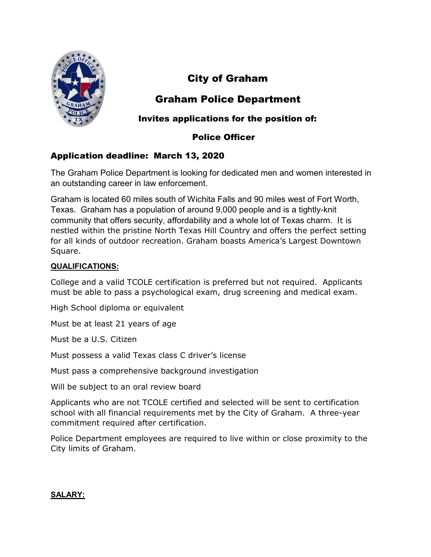

# City of Graham

## Graham Police Department

### Invites applications for the position of:

### Police Officer

## Application deadline: March 13, 2020

The Graham Police Department is looking for dedicated men and women interested in an outstanding career in law enforcement.

Graham is located 60 miles south of Wichita Falls and 90 miles west of Fort Worth, Texas. Graham has a population of around 9,000 people and is a tightly-knit community that offers security, affordability and a whole lot of Texas charm. It is nestled within the pristine North Texas Hill Country and offers the perfect setting for all kinds of outdoor recreation. Graham boasts America's Largest Downtown Square.

#### QUALIFICATIONS:

College and a valid TCOLE certification is preferred but not required. Applicants must be able to pass a psychological exam, drug screening and medical exam.

High School diploma or equivalent

Must be at least 21 years of age

Must be a U.S. Citizen

Must possess a valid Texas class C driver's license

Must pass a comprehensive background investigation

Will be subject to an oral review board

Applicants who are not TCOLE certified and selected will be sent to certification school with all financial requirements met by the City of Graham. A three-year commitment required after certification.

Police Department employees are required to live within or close proximity to the City limits of Graham.

#### SALARY: